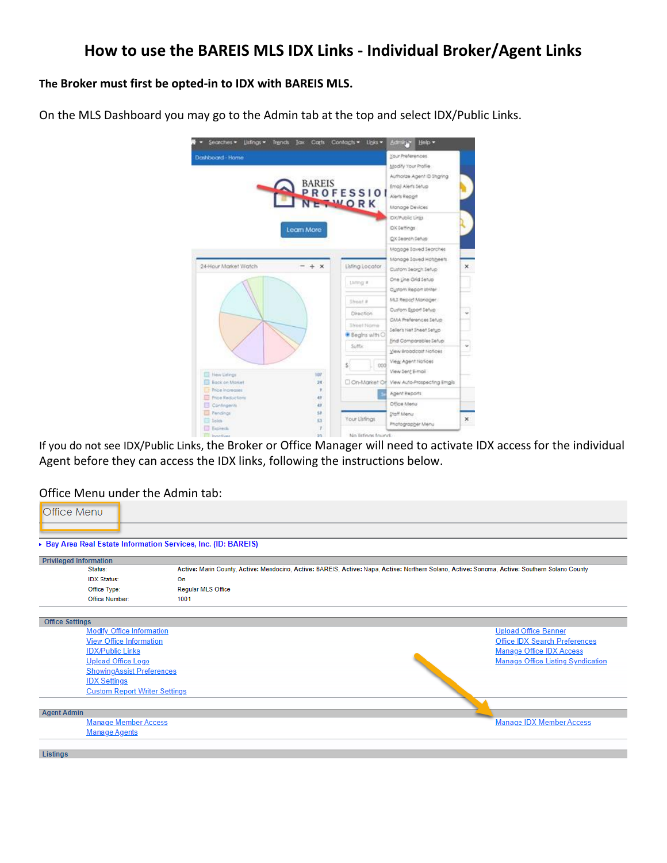### **The Broker must first be opted-in to IDX with BAREIS MLS.**

On the MLS Dashboard you may go to the Admin tab at the top and select IDX/Public Links.



If you do not see IDX/Public Links, the Broker or Office Manager will need to activate IDX access for the individual Agent before they can access the IDX links, following the instructions below.

#### Office Menu under the Admin tab:

| Office Menu                                                    |                           |                                                                                                                                                |                                          |  |  |
|----------------------------------------------------------------|---------------------------|------------------------------------------------------------------------------------------------------------------------------------------------|------------------------------------------|--|--|
|                                                                |                           |                                                                                                                                                |                                          |  |  |
| > Bay Area Real Estate Information Services, Inc. (ID: BAREIS) |                           |                                                                                                                                                |                                          |  |  |
| <b>Privileged Information</b>                                  |                           |                                                                                                                                                |                                          |  |  |
| Status:                                                        |                           | Active: Marin County, Active: Mendocino, Active: BAREIS, Active: Napa, Active: Northern Solano, Active: Sonoma, Active: Southern Solano County |                                          |  |  |
| <b>IDX Status:</b><br>On                                       |                           |                                                                                                                                                |                                          |  |  |
| Office Type:                                                   | <b>Regular MLS Office</b> |                                                                                                                                                |                                          |  |  |
| Office Number:                                                 | 1001                      |                                                                                                                                                |                                          |  |  |
|                                                                |                           |                                                                                                                                                |                                          |  |  |
| <b>Office Settings</b>                                         |                           |                                                                                                                                                |                                          |  |  |
| <b>Modify Office Information</b>                               |                           |                                                                                                                                                | <b>Upload Office Banner</b>              |  |  |
| <b>View Office Information</b>                                 |                           |                                                                                                                                                | <b>Office IDX Search Preferences</b>     |  |  |
| <b>IDX/Public Links</b>                                        |                           |                                                                                                                                                | <b>Manage Office IDX Access</b>          |  |  |
| <b>Upload Office Logo</b>                                      |                           |                                                                                                                                                | <b>Manage Office Listing Syndication</b> |  |  |
| <b>ShowingAssist Preferences</b>                               |                           |                                                                                                                                                |                                          |  |  |
| <b>IDX Settings</b>                                            |                           |                                                                                                                                                |                                          |  |  |
| <b>Custom Report Writer Settings</b>                           |                           |                                                                                                                                                |                                          |  |  |
|                                                                |                           |                                                                                                                                                |                                          |  |  |
| <b>Agent Admin</b>                                             |                           |                                                                                                                                                |                                          |  |  |
| <b>Manage Member Access</b>                                    |                           |                                                                                                                                                | <b>Manage IDX Member Access</b>          |  |  |
| <b>Manage Agents</b>                                           |                           |                                                                                                                                                |                                          |  |  |
|                                                                |                           |                                                                                                                                                |                                          |  |  |
| Listings                                                       |                           |                                                                                                                                                |                                          |  |  |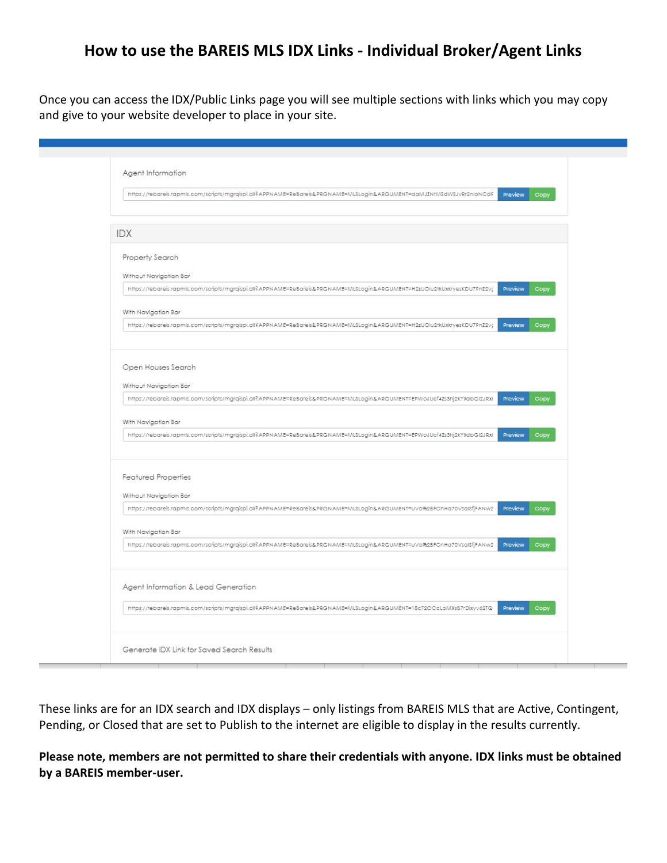Once you can access the IDX/Public Links page you will see multiple sections with links which you may copy and give to your website developer to place in your site.

| Agent Information<br>https://rebareis.rapmls.com/scripts/mgrqispi.dll?APPNAME=ReBareis&PRGNAME=MLSLogin&ARGUMENT=daMJZNtMSdWSJvRr2nloNCdF<br>Preview<br>Copy |
|--------------------------------------------------------------------------------------------------------------------------------------------------------------|
|                                                                                                                                                              |
|                                                                                                                                                              |
| <b>IDX</b>                                                                                                                                                   |
| Property Search                                                                                                                                              |
| Without Navigation Bar                                                                                                                                       |
| https://rebareis.rapmls.com/scripts/mgrqispi.dll?APPNAME=ReBareis&PRGNAME=MLSLogin&ARGUMENT=H2zUOlu2tkUxkryesKDU79nZ2vg<br>Preview<br>Copy                   |
| With Navigation Bar                                                                                                                                          |
| https://rebareis.rapmls.com/scripts/mgrqispi.dll?APPNAME=ReBareis&PRGNAME=MLSLogin&ARGUMENT=H2zUOlu2tkUxkryesKDU79nZ2vg<br>Preview Copy                      |
| Open Houses Search                                                                                                                                           |
|                                                                                                                                                              |
| Without Navigation Bar                                                                                                                                       |
| https://rebareis.rapmls.com/scripts/mgrqispi.dll?APPNAME=ReBareis&PRGNAME=MLSLogin&ARGUMENT=EPWoJUcf4Zs3hj2kYlldbGl2JRxl<br>Preview  <br>Copy                |
| With Navigation Bar                                                                                                                                          |
| https://rebareis.rapmls.com/scripts/mgrqispi.dll?APPNAME=ReBareis&PRGNAME=MLSLogin&ARGUMENT=EPWoJUcf4Zs3hj2kYlldbGl2JRxl<br>Preview<br>Copy                  |
| <b>Featured Properties</b>                                                                                                                                   |
| Without Navigation Bar                                                                                                                                       |
| https://rebareis.rapmls.com/scripts/mgrqispi.dll?APPNAME=ReBareis&PRGNAME=MLSLogin&ARGUMENT=UVo%2BFCnHd70VsalSfjFANw2<br>Preview Copy                        |
| With Navigation Bar                                                                                                                                          |
| https://rebareis.rapmls.com/scripts/mgrqispi.dll?APPNAME=ReBareis&PRGNAME=MLSLogin&ARGUMENT=uVo%2BFCnHd70VsalSfjFANw2<br>Preview<br>Copy                     |
| Agent Information & Lead Generation                                                                                                                          |
| https://rebareis.rapmls.com/scripts/mgrqispi.dll?APPNAME=ReBareis&PRGNAME=MLSLogin&ARGUMENT=18cT2OCcLoMXsB7rDixyv62TQ<br>Preview<br>Copy                     |
| Generate IDX Link for Saved Search Results                                                                                                                   |

These links are for an IDX search and IDX displays – only listings from BAREIS MLS that are Active, Contingent, Pending, or Closed that are set to Publish to the internet are eligible to display in the results currently.

**Please note, members are not permitted to share their credentials with anyone. IDX links must be obtained by a BAREIS member-user.**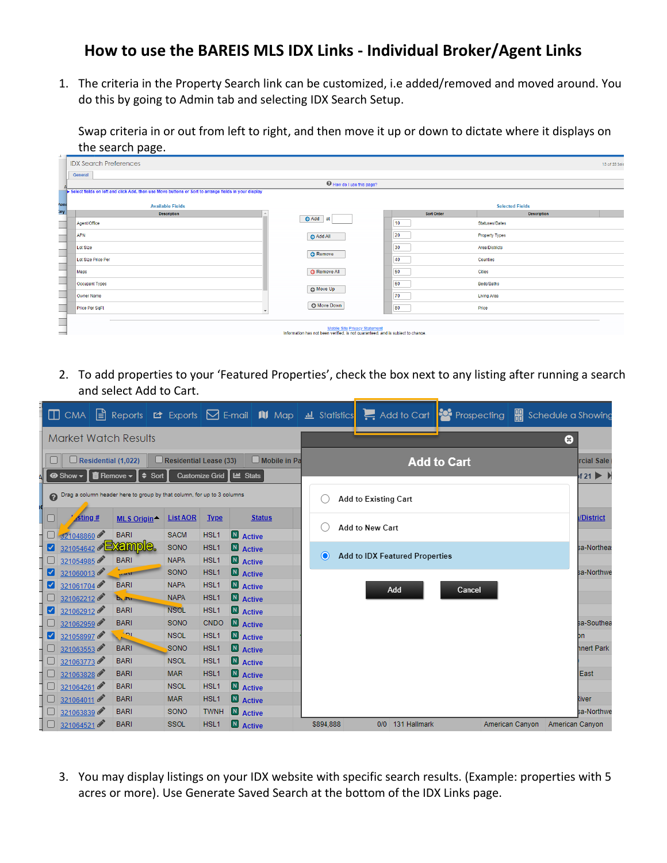1. The criteria in the Property Search link can be customized, i.e added/removed and moved around. You do this by going to Admin tab and selecting IDX Search Setup.

Swap criteria in or out from left to right, and then move it up or down to dictate where it displays on the search page.

|                               | <b>IDX Search Preferences</b>                                                                        |                                                                                                                         |                   |                        | 13 of 23 Sele |
|-------------------------------|------------------------------------------------------------------------------------------------------|-------------------------------------------------------------------------------------------------------------------------|-------------------|------------------------|---------------|
|                               | General                                                                                              |                                                                                                                         |                   |                        |               |
|                               |                                                                                                      | How do I use this page?                                                                                                 |                   |                        |               |
|                               | Select fields on left and click Add, then use Move buttons or Sort to arrange fields in your display |                                                                                                                         |                   |                        |               |
| <b>'end</b>                   | <b>Available Fields</b>                                                                              |                                                                                                                         |                   | <b>Selected Fields</b> |               |
| ley.                          | <b>Description</b>                                                                                   |                                                                                                                         | <b>Sort Order</b> | <b>Description</b>     |               |
| ═<br>__                       | Agent/Office                                                                                         | Add at                                                                                                                  | 10                | Statuses/Dates         |               |
| ᆋ<br><b>-</b>                 | <b>APN</b>                                                                                           | Add All                                                                                                                 | 20                | <b>Property Types</b>  |               |
| ᅼ                             | Lot Size                                                                                             | <b>G</b> Remove                                                                                                         | 30                | Area/Districts         |               |
| -<br>Ħ                        | Lot Size Price Per                                                                                   |                                                                                                                         | 40                | Counties               |               |
| $\overline{\phantom{0}}$<br>- | Maps                                                                                                 | <b>G</b> Remove All                                                                                                     | 50                | <b>Cities</b>          |               |
| -                             | Occupant Types                                                                                       | Move Up                                                                                                                 | 60                | Beds/Baths             |               |
| ÷<br>ш                        | Owner Name                                                                                           |                                                                                                                         | 70                | <b>Living Area</b>     |               |
| ⊣<br>-                        | Price Per SqFt                                                                                       | <b>O</b> Move Down                                                                                                      | 80                | Price                  |               |
| ۰                             |                                                                                                      |                                                                                                                         |                   |                        |               |
| <b>CONTRACTOR</b>             |                                                                                                      | <b>Mobile Site Privacy Statement</b><br>Information has not been verified, is not quaranteed, and is subject to change. |                   |                        |               |

2. To add properties to your 'Featured Properties', check the box next to any listing after running a search and select Add to Cart.

|                                                                                                                                                                                                       |                                                                        |                             |             |                 |                  |                 |                    |             |                      | □ CMA   Reports   단 Exports   ○ E-mail   N Map   교 Statistics   E, Add to Cart   안 Prospecting |        |                                                 | Schedule a Showing     |              |
|-------------------------------------------------------------------------------------------------------------------------------------------------------------------------------------------------------|------------------------------------------------------------------------|-----------------------------|-------------|-----------------|------------------|-----------------|--------------------|-------------|----------------------|------------------------------------------------------------------------------------------------|--------|-------------------------------------------------|------------------------|--------------|
| <b>Market Watch Results</b>                                                                                                                                                                           |                                                                        |                             |             |                 | ❸                |                 |                    |             |                      |                                                                                                |        |                                                 |                        |              |
| $\Box$ Mobile in Pa<br>$\Box$ Residential (1,022)<br>$\Box$ Residential Lease (33)<br>$\hat{=}$ Remove $\star$<br>$\parallel$ $\div$ Sort<br>Customize Grid   LML Stats<br>$\bigcirc$ Show $\bigstar$ |                                                                        |                             |             |                 |                  |                 | <b>Add to Cart</b> |             |                      |                                                                                                |        | rcial Sale<br>$f21$ $\rightarrow$ $\rightarrow$ |                        |              |
|                                                                                                                                                                                                       | Drag a column header here to group by that column, for up to 3 columns |                             |             |                 |                  |                 |                    |             | Add to Existing Cart |                                                                                                |        |                                                 |                        |              |
|                                                                                                                                                                                                       | 0                                                                      | $\sqrt{\sin q}/\frac{H}{2}$ | MLS Origin- | <b>List AOR</b> | <b>Type</b>      | <b>Status</b>   |                    |             |                      | Add to New Cart                                                                                |        |                                                 |                        | /District    |
|                                                                                                                                                                                                       |                                                                        | 321048860<br><b>BARI</b>    |             | <b>SACM</b>     | HSL1             | <b>N</b> Active |                    |             |                      |                                                                                                |        |                                                 |                        |              |
|                                                                                                                                                                                                       | ø                                                                      | 321054642 <b>Example.</b>   |             | SONO            | HSL <sub>1</sub> | <b>N</b> Active |                    |             |                      |                                                                                                |        |                                                 |                        | sa-Northea   |
|                                                                                                                                                                                                       |                                                                        | <b>BARI</b><br>321054985    |             | <b>NAPA</b>     | HSL1             | <b>N</b> Active |                    | $\mathbf O$ |                      | Add to IDX Featured Properties                                                                 |        |                                                 |                        |              |
|                                                                                                                                                                                                       | ø                                                                      | 321060013<br><b>CONTROL</b> |             | SONO            | HSL <sub>1</sub> | <b>N</b> Active |                    |             |                      |                                                                                                |        |                                                 |                        | sa-Northwe   |
|                                                                                                                                                                                                       | ø                                                                      | 321061704<br><b>BARI</b>    |             | <b>NAPA</b>     | HSL1             | <b>N</b> Active |                    |             |                      | Add                                                                                            | Cancel |                                                 |                        |              |
|                                                                                                                                                                                                       |                                                                        | 321062212<br><b>Bully</b>   |             | <b>NAPA</b>     | HSL1             | <b>N</b> Active |                    |             |                      |                                                                                                |        |                                                 |                        |              |
|                                                                                                                                                                                                       | ø                                                                      | 321062912<br><b>BARI</b>    |             | <b>NSOL</b>     | HSL1             | <b>N</b> Active |                    |             |                      |                                                                                                |        |                                                 |                        |              |
|                                                                                                                                                                                                       |                                                                        | 321062959<br><b>BARI</b>    |             | SONO            | CNDO             | <b>N</b> Active |                    |             |                      |                                                                                                |        |                                                 |                        | sa-Southea   |
|                                                                                                                                                                                                       | ø                                                                      | <b>Fol</b><br>321058997     |             | <b>NSOL</b>     | HSL1             | <b>N</b> Active |                    |             |                      |                                                                                                |        |                                                 |                        | bn           |
|                                                                                                                                                                                                       |                                                                        | 321063553<br><b>BARI</b>    |             | SONO            | HSL <sub>1</sub> | <b>N</b> Active |                    |             |                      |                                                                                                |        |                                                 |                        | hnert Park   |
|                                                                                                                                                                                                       |                                                                        | 321063773<br><b>BARI</b>    |             | <b>NSOL</b>     | HSL1             | <b>N</b> Active |                    |             |                      |                                                                                                |        |                                                 |                        |              |
|                                                                                                                                                                                                       |                                                                        | 321063828<br><b>BARI</b>    | <b>MAR</b>  |                 | HSL <sub>1</sub> | <b>N</b> Active |                    |             |                      |                                                                                                |        |                                                 |                        | <b>IEast</b> |
|                                                                                                                                                                                                       |                                                                        | 321064261<br><b>BARI</b>    |             | <b>NSOL</b>     | HSL <sub>1</sub> | <b>N</b> Active |                    |             |                      |                                                                                                |        |                                                 |                        |              |
|                                                                                                                                                                                                       |                                                                        | <b>BARI</b><br>321064011    | <b>MAR</b>  |                 | HSL1             | <b>N</b> Active |                    |             |                      |                                                                                                |        |                                                 |                        | kiver        |
|                                                                                                                                                                                                       |                                                                        | <b>BARI</b><br>321063839    |             | SONO            | <b>TWNH</b>      | <b>N</b> Active |                    |             |                      |                                                                                                |        |                                                 |                        | sa-Northwe   |
|                                                                                                                                                                                                       |                                                                        | <b>BARI</b><br>321064521    |             | <b>SSOL</b>     | HSL <sub>1</sub> | <b>N</b> Active |                    | \$894,888   |                      | 0/0 131 Hallmark                                                                               |        | American Canyon                                 | <b>American Canyon</b> |              |

3. You may display listings on your IDX website with specific search results. (Example: properties with 5 acres or more). Use Generate Saved Search at the bottom of the IDX Links page.